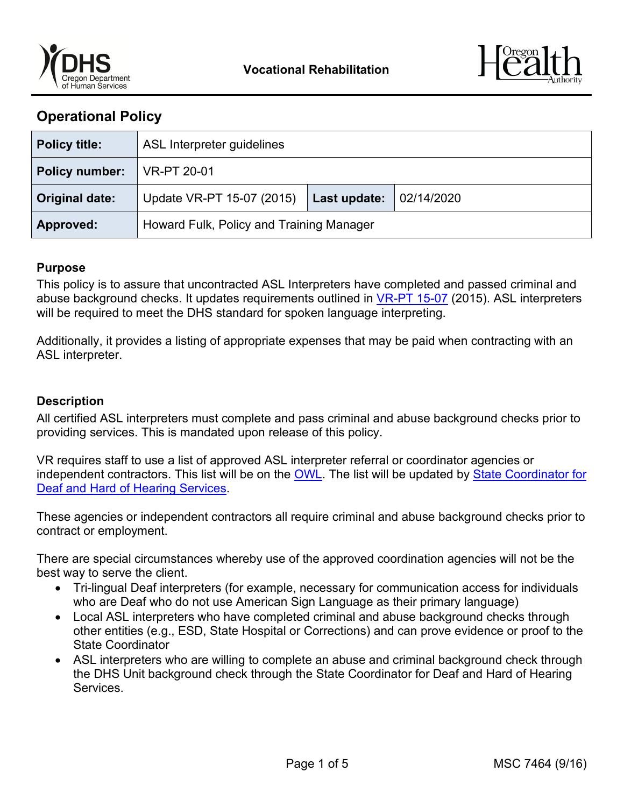



# **Operational Policy**

| <b>Policy title:</b> | ASL Interpreter guidelines               |              |            |
|----------------------|------------------------------------------|--------------|------------|
| Policy number:       | <b>VR-PT 20-01</b>                       |              |            |
| Original date:       | Update VR-PT 15-07 (2015)                | Last update: | 02/14/2020 |
| Approved:            | Howard Fulk, Policy and Training Manager |              |            |

### **Purpose**

This policy is to assure that uncontracted ASL Interpreters have completed and passed criminal and abuse background checks. It updates requirements outlined in [VR-PT 15-07](https://dhsoha.sharepoint.com/teams/Hub-DHS-VR/Shared%20Documents/Policies-Rules-Regulations/Policy-Transmittals/VR-PT-15-07-Services-Deaf-HoH-2015-09-28.pdf?csf=1&e=16Szyn&cid=fdff749a-25fb-4b34-9453-c203373a88b3) (2015). ASL interpreters will be required to meet the DHS standard for spoken language interpreting.

Additionally, it provides a listing of appropriate expenses that may be paid when contracting with an ASL interpreter.

### **Description**

All certified ASL interpreters must complete and pass criminal and abuse background checks prior to providing services. This is mandated upon release of this policy.

VR requires staff to use a list of approved ASL interpreter referral or coordinator agencies or independent contractors. This list will be on the [OWL.](https://dhsoha.sharepoint.com/teams/Hub-DHS-VR/SitePages/Deaf-Hard-Hearing-Client-Service.aspx?web=1) The list will be updated by [State Coordinator for](mailto:vr.fieldservices@dhsoha.state.or.us)  [Deaf and Hard of Hearing Services.](mailto:vr.fieldservices@dhsoha.state.or.us)

These agencies or independent contractors all require criminal and abuse background checks prior to contract or employment.

There are special circumstances whereby use of the approved coordination agencies will not be the best way to serve the client.

- Tri-lingual Deaf interpreters (for example, necessary for communication access for individuals who are Deaf who do not use American Sign Language as their primary language)
- Local ASL interpreters who have completed criminal and abuse background checks through other entities (e.g., ESD, State Hospital or Corrections) and can prove evidence or proof to the State Coordinator
- ASL interpreters who are willing to complete an abuse and criminal background check through the DHS Unit background check through the State Coordinator for Deaf and Hard of Hearing Services.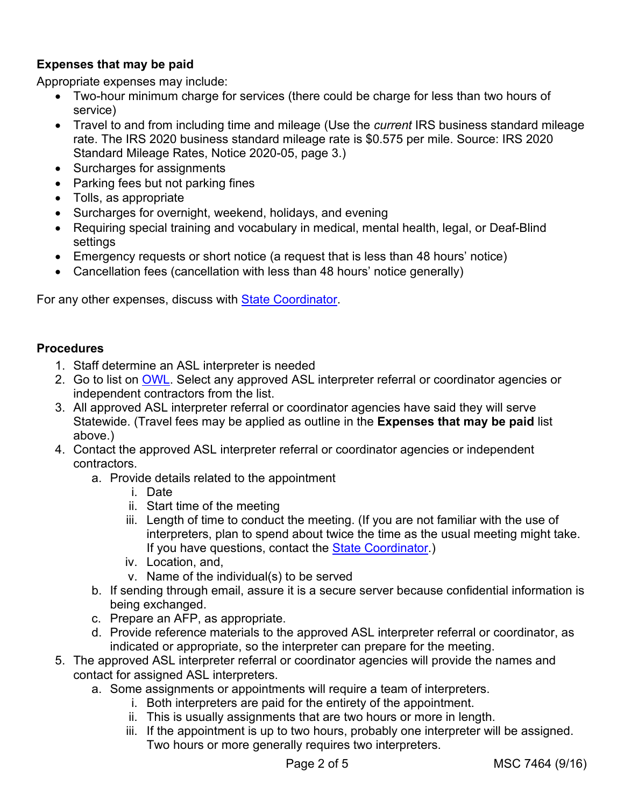## **Expenses that may be paid**

Appropriate expenses may include:

- Two-hour minimum charge for services (there could be charge for less than two hours of service)
- Travel to and from including time and mileage (Use the *current* IRS business standard mileage rate. The IRS 2020 business standard mileage rate is \$0.575 per mile. Source: IRS 2020 Standard Mileage Rates, Notice 2020-05, page 3.)
- Surcharges for assignments
- Parking fees but not parking fines
- Tolls, as appropriate
- Surcharges for overnight, weekend, holidays, and evening
- Requiring special training and vocabulary in medical, mental health, legal, or Deaf-Blind settings
- Emergency requests or short notice (a request that is less than 48 hours' notice)
- Cancellation fees (cancellation with less than 48 hours' notice generally)

For any other expenses, discuss with [State Coordinator.](mailto:vr.fieldservices@dhsoha.state.or.us)

### **Procedures**

- 1. Staff determine an ASL interpreter is needed
- 2. Go to list on [OWL.](https://dhsoha.sharepoint.com/teams/Hub-DHS-VR/SitePages/Deaf-Hard-Hearing-Client-Service.aspx?web=1) Select any approved ASL interpreter referral or coordinator agencies or independent contractors from the list.
- 3. All approved ASL interpreter referral or coordinator agencies have said they will serve Statewide. (Travel fees may be applied as outline in the **Expenses that may be paid** list above.)
- 4. Contact the approved ASL interpreter referral or coordinator agencies or independent contractors.
	- a. Provide details related to the appointment
		- i. Date
		- ii. Start time of the meeting
		- iii. Length of time to conduct the meeting. (If you are not familiar with the use of interpreters, plan to spend about twice the time as the usual meeting might take. If you have questions, contact the [State Coordinator.](mailto:vr.fieldservices@dhsoha.state.or.us))
		- iv. Location, and,
		- v. Name of the individual(s) to be served
	- b. If sending through email, assure it is a secure server because confidential information is being exchanged.
	- c. Prepare an AFP, as appropriate.
	- d. Provide reference materials to the approved ASL interpreter referral or coordinator, as indicated or appropriate, so the interpreter can prepare for the meeting.
- 5. The approved ASL interpreter referral or coordinator agencies will provide the names and contact for assigned ASL interpreters.
	- a. Some assignments or appointments will require a team of interpreters.
		- i. Both interpreters are paid for the entirety of the appointment.
		- ii. This is usually assignments that are two hours or more in length.
		- iii. If the appointment is up to two hours, probably one interpreter will be assigned. Two hours or more generally requires two interpreters.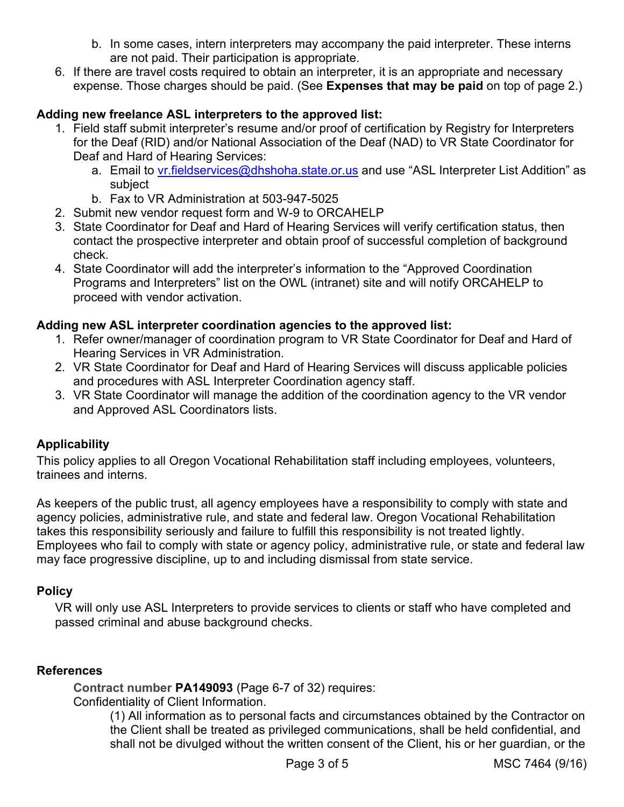- b. In some cases, intern interpreters may accompany the paid interpreter. These interns are not paid. Their participation is appropriate.
- 6. If there are travel costs required to obtain an interpreter, it is an appropriate and necessary expense. Those charges should be paid. (See **Expenses that may be paid** on top of page 2.)

### **Adding new freelance ASL interpreters to the approved list:**

- 1. Field staff submit interpreter's resume and/or proof of certification by Registry for Interpreters for the Deaf (RID) and/or National Association of the Deaf (NAD) to VR State Coordinator for Deaf and Hard of Hearing Services:
	- a. Email to [vr.fieldservices@dhshoha.state.or.us](mailto:vr.fieldservices@dhshoha.state.or.us) and use "ASL Interpreter List Addition" as subject
	- b. Fax to VR Administration at 503-947-5025
- 2. Submit new vendor request form and W-9 to ORCAHELP
- 3. State Coordinator for Deaf and Hard of Hearing Services will verify certification status, then contact the prospective interpreter and obtain proof of successful completion of background check.
- 4. State Coordinator will add the interpreter's information to the "Approved Coordination Programs and Interpreters" list on the OWL (intranet) site and will notify ORCAHELP to proceed with vendor activation.

### **Adding new ASL interpreter coordination agencies to the approved list:**

- 1. Refer owner/manager of coordination program to VR State Coordinator for Deaf and Hard of Hearing Services in VR Administration.
- 2. VR State Coordinator for Deaf and Hard of Hearing Services will discuss applicable policies and procedures with ASL Interpreter Coordination agency staff.
- 3. VR State Coordinator will manage the addition of the coordination agency to the VR vendor and Approved ASL Coordinators lists.

### **Applicability**

This policy applies to all Oregon Vocational Rehabilitation staff including employees, volunteers, trainees and interns.

As keepers of the public trust, all agency employees have a responsibility to comply with state and agency policies, administrative rule, and state and federal law. Oregon Vocational Rehabilitation takes this responsibility seriously and failure to fulfill this responsibility is not treated lightly. Employees who fail to comply with state or agency policy, administrative rule, or state and federal law may face progressive discipline, up to and including dismissal from state service.

### **Policy**

VR will only use ASL Interpreters to provide services to clients or staff who have completed and passed criminal and abuse background checks.

### **References**

**Contract number PA149093** (Page 6-7 of 32) requires:

Confidentiality of Client Information.

(1) All information as to personal facts and circumstances obtained by the Contractor on the Client shall be treated as privileged communications, shall be held confidential, and shall not be divulged without the written consent of the Client, his or her guardian, or the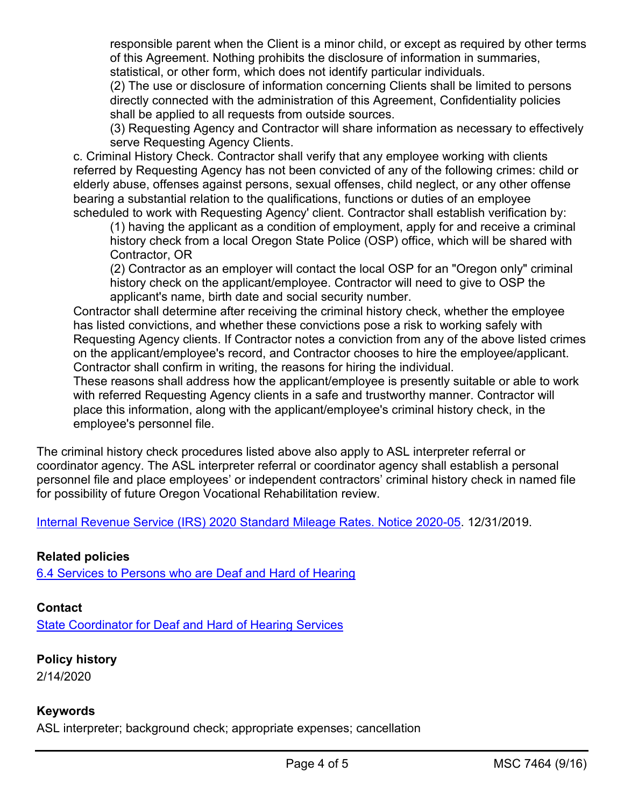responsible parent when the Client is a minor child, or except as required by other terms of this Agreement. Nothing prohibits the disclosure of information in summaries, statistical, or other form, which does not identify particular individuals.

(2) The use or disclosure of information concerning Clients shall be limited to persons directly connected with the administration of this Agreement, Confidentiality policies shall be applied to all requests from outside sources.

(3) Requesting Agency and Contractor will share information as necessary to effectively serve Requesting Agency Clients.

c. Criminal History Check. Contractor shall verify that any employee working with clients referred by Requesting Agency has not been convicted of any of the following crimes: child or elderly abuse, offenses against persons, sexual offenses, child neglect, or any other offense bearing a substantial relation to the qualifications, functions or duties of an employee scheduled to work with Requesting Agency' client. Contractor shall establish verification by:

(1) having the applicant as a condition of employment, apply for and receive a criminal history check from a local Oregon State Police (OSP) office, which will be shared with Contractor, OR

(2) Contractor as an employer will contact the local OSP for an "Oregon only" criminal history check on the applicant/employee. Contractor will need to give to OSP the applicant's name, birth date and social security number.

Contractor shall determine after receiving the criminal history check, whether the employee has listed convictions, and whether these convictions pose a risk to working safely with Requesting Agency clients. If Contractor notes a conviction from any of the above listed crimes on the applicant/employee's record, and Contractor chooses to hire the employee/applicant. Contractor shall confirm in writing, the reasons for hiring the individual.

These reasons shall address how the applicant/employee is presently suitable or able to work with referred Requesting Agency clients in a safe and trustworthy manner. Contractor will place this information, along with the applicant/employee's criminal history check, in the employee's personnel file.

The criminal history check procedures listed above also apply to ASL interpreter referral or coordinator agency. The ASL interpreter referral or coordinator agency shall establish a personal personnel file and place employees' or independent contractors' criminal history check in named file for possibility of future Oregon Vocational Rehabilitation review.

[Internal Revenue Service \(IRS\) 2020 Standard Mileage Rates. Notice 2020-05.](https://www.irs.gov/pub/irs-drop/n-20-05.pdf) 12/31/2019.

### **Related policies**

[6.4 Services to Persons who are Deaf and Hard of Hearing](https://dhsoha.sharepoint.com/teams/Hub-DHS-VR/Shared%20Documents/Policies-Rules-Regulations/Policy-Transmittals/VR-PT-15-07-Services-Deaf-HoH-2015-09-28.pdf?csf=1&e=16Szyn&cid=fdff749a-25fb-4b34-9453-c203373a88b3)

### **Contact**

**[State Coordinator for Deaf and Hard of Hearing Services](mailto:vr.fieldservices@dhsoha.state.or.us)** 

#### **Policy history** 2/14/2020

### **Keywords**

ASL interpreter; background check; appropriate expenses; cancellation